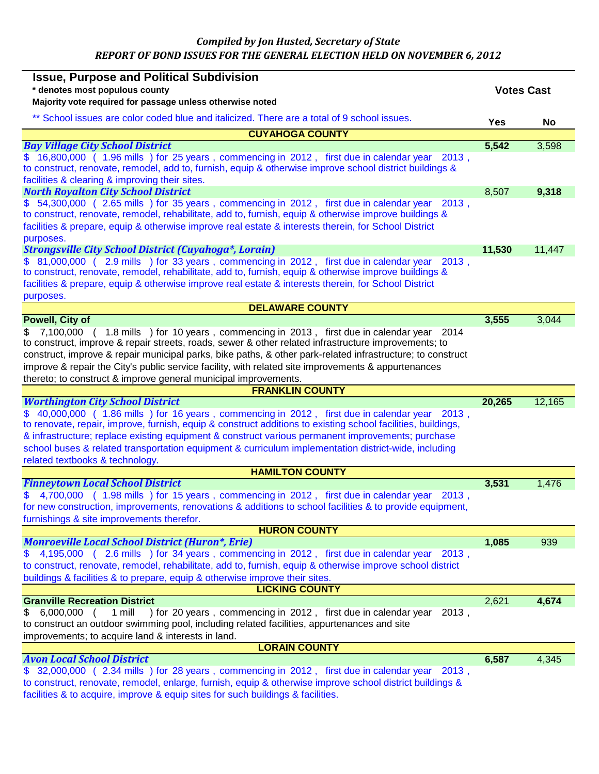*Compiled by Jon Husted, Secretary of State REPORT OF BOND ISSUES FOR THE GENERAL ELECTION HELD ON NOVEMBER 6, 2012* 

| <b>Issue, Purpose and Political Subdivision</b>                                                                                                                                             |                   |        |
|---------------------------------------------------------------------------------------------------------------------------------------------------------------------------------------------|-------------------|--------|
| * denotes most populous county                                                                                                                                                              | <b>Votes Cast</b> |        |
| Majority vote required for passage unless otherwise noted                                                                                                                                   |                   |        |
| ** School issues are color coded blue and italicized. There are a total of 9 school issues.                                                                                                 | <b>Yes</b>        | No     |
| <b>CUYAHOGA COUNTY</b>                                                                                                                                                                      |                   |        |
| <b>Bay Village City School District</b>                                                                                                                                                     | 5,542             | 3,598  |
| \$ 16,800,000 (1.96 mills) for 25 years, commencing in 2012, first due in calendar year<br>$2013$ ,                                                                                         |                   |        |
| to construct, renovate, remodel, add to, furnish, equip & otherwise improve school district buildings &                                                                                     |                   |        |
| facilities & clearing & improving their sites.                                                                                                                                              |                   |        |
| <b>North Royalton City School District</b>                                                                                                                                                  | 8,507             | 9,318  |
| \$54,300,000 (2.65 mills) for 35 years, commencing in 2012, first due in calendar year 2013,                                                                                                |                   |        |
| to construct, renovate, remodel, rehabilitate, add to, furnish, equip & otherwise improve buildings &                                                                                       |                   |        |
| facilities & prepare, equip & otherwise improve real estate & interests therein, for School District                                                                                        |                   |        |
| purposes.                                                                                                                                                                                   |                   |        |
| <b>Strongsville City School District (Cuyahoga*, Lorain)</b>                                                                                                                                | 11,530            | 11,447 |
| \$ 81,000,000 (2.9 mills) for 33 years, commencing in 2012, first due in calendar year<br>2013,                                                                                             |                   |        |
| to construct, renovate, remodel, rehabilitate, add to, furnish, equip & otherwise improve buildings &                                                                                       |                   |        |
| facilities & prepare, equip & otherwise improve real estate & interests therein, for School District                                                                                        |                   |        |
| purposes.                                                                                                                                                                                   |                   |        |
| <b>DELAWARE COUNTY</b>                                                                                                                                                                      |                   |        |
| <b>Powell, City of</b>                                                                                                                                                                      | 3,555             | 3,044  |
| \$ 7,100,000 (1.8 mills) for 10 years, commencing in 2013, first due in calendar year 2014                                                                                                  |                   |        |
| to construct, improve & repair streets, roads, sewer & other related infrastructure improvements; to                                                                                        |                   |        |
| construct, improve & repair municipal parks, bike paths, & other park-related infrastructure; to construct                                                                                  |                   |        |
| improve & repair the City's public service facility, with related site improvements & appurtenances                                                                                         |                   |        |
| thereto; to construct & improve general municipal improvements.                                                                                                                             |                   |        |
| <b>FRANKLIN COUNTY</b><br><b>Worthington City School District</b>                                                                                                                           | 20,265            | 12,165 |
| \$ 40,000,000 ( 1.86 mills ) for 16 years, commencing in 2012, first due in calendar year                                                                                                   |                   |        |
| $2013$ ,<br>to renovate, repair, improve, furnish, equip & construct additions to existing school facilities, buildings,                                                                    |                   |        |
| & infrastructure; replace existing equipment & construct various permanent improvements; purchase                                                                                           |                   |        |
| school buses & related transportation equipment & curriculum implementation district-wide, including                                                                                        |                   |        |
| related textbooks & technology.                                                                                                                                                             |                   |        |
| <b>HAMILTON COUNTY</b>                                                                                                                                                                      |                   |        |
| <b>Finneytown Local School District</b>                                                                                                                                                     | 3,531             | 1,476  |
| 4,700,000 (1.98 mills ) for 15 years, commencing in 2012, first due in calendar year 2013,                                                                                                  |                   |        |
| for new construction, improvements, renovations & additions to school facilities & to provide equipment,                                                                                    |                   |        |
| furnishings & site improvements therefor.                                                                                                                                                   |                   |        |
| <b>HURON COUNTY</b>                                                                                                                                                                         |                   |        |
| <b>Monroeville Local School District (Huron*, Erie)</b>                                                                                                                                     | 1,085             | 939    |
| 4,195,000 (2.6 mills) for 34 years, commencing in 2012, first due in calendar year<br>2013.                                                                                                 |                   |        |
| to construct, renovate, remodel, rehabilitate, add to, furnish, equip & otherwise improve school district                                                                                   |                   |        |
| buildings & facilities & to prepare, equip & otherwise improve their sites.                                                                                                                 |                   |        |
| <b>LICKING COUNTY</b>                                                                                                                                                                       |                   |        |
| <b>Granville Recreation District</b>                                                                                                                                                        | 2,621             | 4,674  |
| $6,000,000$ (<br>1 mill<br>) for 20 years, commencing in 2012, first due in calendar year<br>2013,<br>S.                                                                                    |                   |        |
| to construct an outdoor swimming pool, including related facilities, appurtenances and site                                                                                                 |                   |        |
| improvements; to acquire land & interests in land.                                                                                                                                          |                   |        |
| <b>LORAIN COUNTY</b>                                                                                                                                                                        |                   |        |
| <b>Avon Local School District</b>                                                                                                                                                           | 6,587             | 4,345  |
| \$ 32,000,000 (2.34 mills) for 28 years, commencing in 2012, first due in calendar year<br>$2013$ .                                                                                         |                   |        |
|                                                                                                                                                                                             |                   |        |
| to construct, renovate, remodel, enlarge, furnish, equip & otherwise improve school district buildings &<br>facilities & to acquire, improve & equip sites for such buildings & facilities. |                   |        |